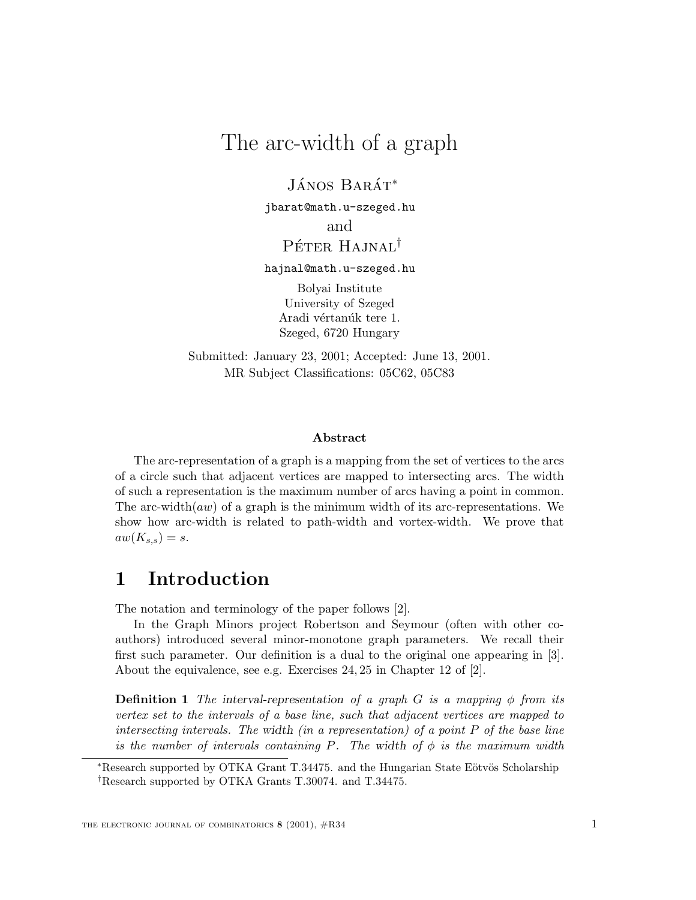# The arc-width of a graph

 $JÁNOS<sub>BARÁT</sub><sup>*</sup>$ 

jbarat@math.u-szeged.hu and Péter Hajnal<sup>†</sup>

hajnal@math.u-szeged.hu

Bolyai Institute University of Szeged Aradi vértanúk tere 1. Szeged, 6720 Hungary

Submitted: January 23, 2001; Accepted: June 13, 2001. MR Subject Classifications: 05C62, 05C83

#### **Abstract**

The arc-representation of a graph is a mapping from the set of vertices to the arcs of a circle such that adjacent vertices are mapped to intersecting arcs. The width of such a representation is the maximum number of arcs having a point in common. The arc-width( $aw$ ) of a graph is the minimum width of its arc-representations. We show how arc-width is related to path-width and vortex-width. We prove that  $aw(K_{s,s})=s.$ 

# **1 Introduction**

The notation and terminology of the paper follows [2].

In the Graph Minors project Robertson and Seymour (often with other coauthors) introduced several minor-monotone graph parameters. We recall their first such parameter. Our definition is a dual to the original one appearing in [3]. About the equivalence, see e.g. Exercises 24, 25 in Chapter 12 of [2].

**Definition 1** *The interval-representation of a graph*  $G$  *is a mapping*  $\phi$  *from its vertex set to the intervals of a base line, such that adjacent vertices are mapped to intersecting intervals. The width (in a representation) of a point* P *of the base line is the number of intervals containing* P. The width of  $\phi$  *is the maximum width* 

<sup>\*</sup>Research supported by OTKA Grant T.34475. and the Hungarian State Eötvös Scholarship †Research supported by OTKA Grants T.30074. and T.34475.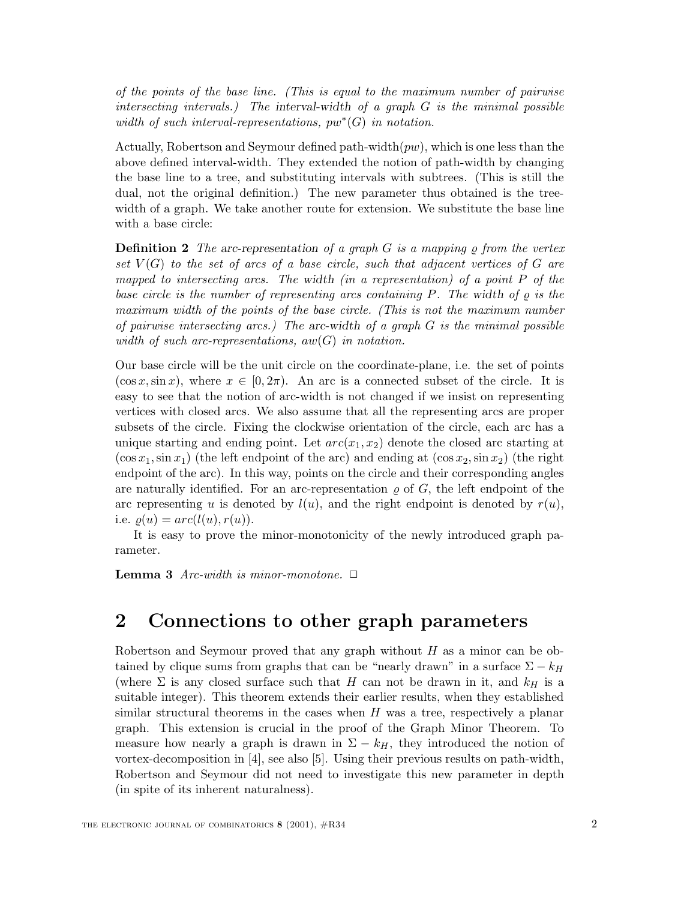*of the points of the base line. (This is equal to the maximum number of pairwise intersecting intervals.) The interval-width of a graph* G *is the minimal possible width of such interval-representations,* pw∗(G) *in notation.*

Actually, Robertson and Seymour defined path-width $(pw)$ , which is one less than the above defined interval-width. They extended the notion of path-width by changing the base line to a tree, and substituting intervals with subtrees. (This is still the dual, not the original definition.) The new parameter thus obtained is the treewidth of a graph. We take another route for extension. We substitute the base line with a base circle:

**Definition 2** *The* arc-representation of a graph  $G$  is a mapping  $\varrho$  from the vertex *set* V (G) *to the set of arcs of a base circle, such that adjacent vertices of* G *are mapped to intersecting arcs. The width (in a representation) of a point* P *of the base circle is the number of representing arcs containing* P. The width of  $\rho$  is the *maximum width of the points of the base circle. (This is not the maximum number of pairwise intersecting arcs.) The arc-width of a graph* G *is the minimal possible width of such arc-representations,* aw(G) *in notation.*

Our base circle will be the unit circle on the coordinate-plane, i.e. the set of points  $(\cos x, \sin x)$ , where  $x \in [0, 2\pi)$ . An arc is a connected subset of the circle. It is easy to see that the notion of arc-width is not changed if we insist on representing vertices with closed arcs. We also assume that all the representing arcs are proper subsets of the circle. Fixing the clockwise orientation of the circle, each arc has a unique starting and ending point. Let  $arc(x_1, x_2)$  denote the closed arc starting at  $(\cos x_1, \sin x_1)$  (the left endpoint of the arc) and ending at  $(\cos x_2, \sin x_2)$  (the right endpoint of the arc). In this way, points on the circle and their corresponding angles are naturally identified. For an arc-representation  $\rho$  of  $G$ , the left endpoint of the arc representing u is denoted by  $l(u)$ , and the right endpoint is denoted by  $r(u)$ , i.e.  $\varrho(u) = arc(l(u), r(u)).$ 

It is easy to prove the minor-monotonicity of the newly introduced graph parameter.

**Lemma 3** *Arc-width is minor-monotone.*  $\Box$ 

### **2 Connections to other graph parameters**

Robertson and Seymour proved that any graph without  $H$  as a minor can be obtained by clique sums from graphs that can be "nearly drawn" in a surface  $\Sigma - k_H$ (where  $\Sigma$  is any closed surface such that H can not be drawn in it, and  $k_H$  is a suitable integer). This theorem extends their earlier results, when they established similar structural theorems in the cases when  $H$  was a tree, respectively a planar graph. This extension is crucial in the proof of the Graph Minor Theorem. To measure how nearly a graph is drawn in  $\Sigma - k_H$ , they introduced the notion of vortex-decomposition in [4], see also [5]. Using their previous results on path-width, Robertson and Seymour did not need to investigate this new parameter in depth (in spite of its inherent naturalness).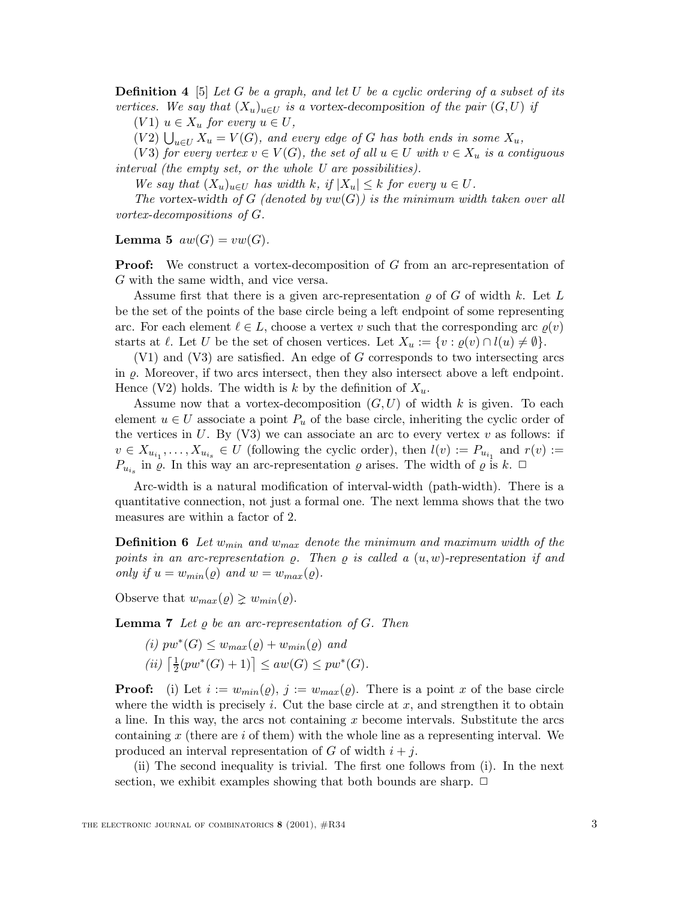**Definition 4** [5] *Let* G *be a graph, and let* U *be a cyclic ordering of a subset of its vertices.* We say that  $(X_u)_{u \in U}$  is a vortex-decomposition of the pair  $(G, U)$  *if* 

 $(V1)$   $u \in X_u$  *for every*  $u \in U$ *,* 

 $(V2) \bigcup_{u \in U} X_u = V(G)$ *, and every edge of G has both ends in some*  $X_u$ *,* 

 $(V3)$  *for every vertex*  $v \in V(G)$ *, the set of all*  $u \in U$  *with*  $v \in X_u$  *is a contiguous interval (the empty set, or the whole U are possibilities).*

*We say that*  $(X_u)_{u \in U}$  *has width* k, if  $|X_u| \leq k$  for every  $u \in U$ .

*The* vortex-width of G (denoted by  $vw(G)$ ) is the minimum width taken over all *vortex-decompositions of* G*.*

**Lemma 5**  $aw(G) = vw(G)$ .

**Proof:** We construct a vortex-decomposition of G from an arc-representation of G with the same width, and vice versa.

Assume first that there is a given arc-representation  $\rho$  of G of width k. Let L be the set of the points of the base circle being a left endpoint of some representing arc. For each element  $\ell \in L$ , choose a vertex v such that the corresponding arc  $\varrho(v)$ starts at  $\ell$ . Let U be the set of chosen vertices. Let  $X_u := \{v : \varrho(v) \cap l(u) \neq \emptyset\}.$ 

(V1) and (V3) are satisfied. An edge of G corresponds to two intersecting arcs in  $\varrho$ . Moreover, if two arcs intersect, then they also intersect above a left endpoint. Hence (V2) holds. The width is k by the definition of  $X_u$ .

Assume now that a vortex-decomposition  $(G, U)$  of width k is given. To each element  $u \in U$  associate a point  $P_u$  of the base circle, inheriting the cyclic order of the vertices in  $U$ . By (V3) we can associate an arc to every vertex  $v$  as follows: if  $v \in X_{u_{i_1}}, \ldots, X_{u_{i_s}} \in U$  (following the cyclic order), then  $l(v) := P_{u_{i_1}}$  and  $r(v) :=$  $P_{u_{i_s}}$  in  $\varrho$ . In this way an arc-representation  $\varrho$  arises. The width of  $\varrho$  is  $k$ .  $\Box$ 

Arc-width is a natural modification of interval-width (path-width). There is a quantitative connection, not just a formal one. The next lemma shows that the two measures are within a factor of 2.

**Definition 6** Let  $w_{min}$  and  $w_{max}$  denote the minimum and maximum width of the *points in an arc-representation*  $\varrho$ . Then  $\varrho$  is called a  $(u, w)$ -representation if and *only if*  $u = w_{min}(\rho)$  *and*  $w = w_{max}(\rho)$ *.* 

Observe that  $w_{max}(\varrho) \geq w_{min}(\varrho)$ .

**Lemma 7** Let  $\rho$  be an arc-representation of G. Then

 $(i)$   $pw^*(G) \leq w_{max}(\rho) + w_{min}(\rho)$  *and*  $(iii) \left[ \frac{1}{2} (pw^*(G) + 1) \right] \leq aw(G) \leq pw^*(G)$ .

**Proof:** (i) Let  $i := w_{min}(\varrho), j := w_{max}(\varrho)$ . There is a point x of the base circle where the width is precisely i. Cut the base circle at  $x$ , and strengthen it to obtain a line. In this way, the arcs not containing  $x$  become intervals. Substitute the arcs containing  $x$  (there are  $i$  of them) with the whole line as a representing interval. We produced an interval representation of G of width  $i + j$ .

(ii) The second inequality is trivial. The first one follows from (i). In the next section, we exhibit examples showing that both bounds are sharp.  $\Box$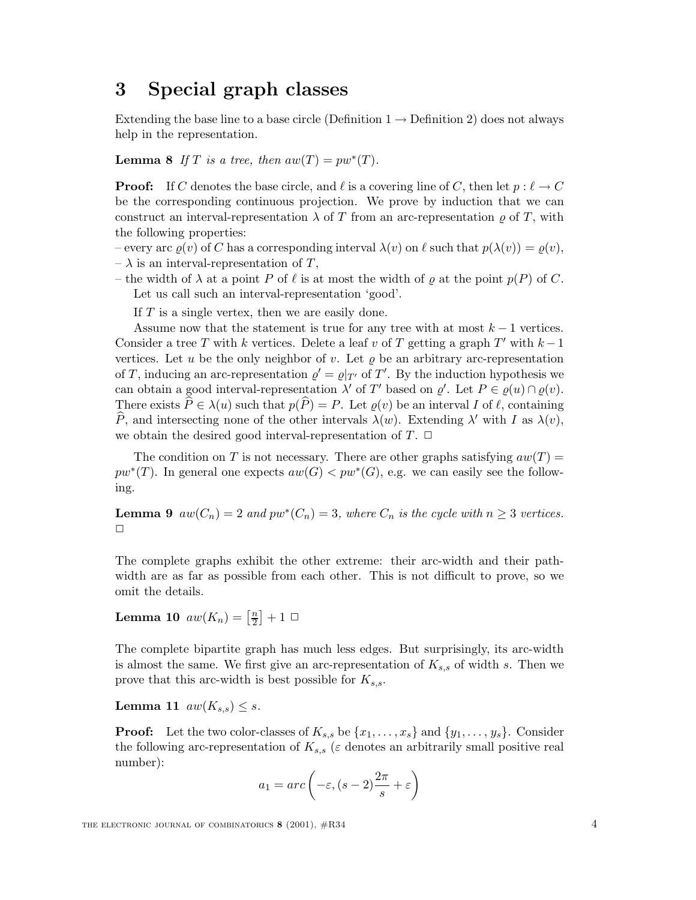### **3 Special graph classes**

Extending the base line to a base circle (Definition  $1 \rightarrow$  Definition 2) does not always help in the representation.

**Lemma 8** *If*  $T$  *is a tree, then*  $aw(T) = pw^*(T)$ *.* 

**Proof:** If C denotes the base circle, and  $\ell$  is a covering line of C, then let  $p : \ell \to C$ be the corresponding continuous projection. We prove by induction that we can construct an interval-representation  $\lambda$  of T from an arc-representation  $\rho$  of T, with the following properties:

– every arc  $\varrho(v)$  of C has a corresponding interval  $\lambda(v)$  on  $\ell$  such that  $p(\lambda(v)) = \varrho(v)$ ,

 $-\lambda$  is an interval-representation of T,

– the width of  $\lambda$  at a point P of  $\ell$  is at most the width of  $\varrho$  at the point  $p(P)$  of C. Let us call such an interval-representation 'good'.

If  $T$  is a single vertex, then we are easily done.

Assume now that the statement is true for any tree with at most  $k - 1$  vertices. Consider a tree T with k vertices. Delete a leaf v of T getting a graph T' with  $k-1$ vertices. Let u be the only neighbor of v. Let  $\rho$  be an arbitrary arc-representation of T, inducing an arc-representation  $\varrho' = \varrho|_{T'}$  of T'. By the induction hypothesis we can obtain a good interval-representation  $\lambda'$  of T' based on  $\varrho'$ . Let  $P \in \varrho(u) \cap \varrho(v)$ . There exists  $\widehat{P} \in \lambda(u)$  such that  $p(\widehat{P}) = P$ . Let  $\varrho(v)$  be an interval I of  $\ell$ , containing P, and intersecting none of the other intervals  $\lambda(w)$ . Extending  $\lambda'$  with I as  $\lambda(v)$ , we obtain the desired good interval-representation of  $T$ .  $\Box$ 

The condition on T is not necessary. There are other graphs satisfying  $aw(T)$  =  $pw^*(T)$ . In general one expects  $aw(G) < pw^*(G)$ , e.g. we can easily see the following.

**Lemma 9**  $aw(C_n)=2$  and  $pw^*(C_n)=3$ , where  $C_n$  is the cycle with  $n \geq 3$  vertices.  $\Box$ 

The complete graphs exhibit the other extreme: their arc-width and their pathwidth are as far as possible from each other. This is not difficult to prove, so we omit the details.

**Lemma 10**  $aw(K_n) = \left[\frac{n}{2}\right] + 1$ 

The complete bipartite graph has much less edges. But surprisingly, its arc-width is almost the same. We first give an arc-representation of  $K_{s,s}$  of width s. Then we prove that this arc-width is best possible for  $K_{s,s}$ .

**Lemma 11**  $aw(K_{s,s}) \leq s$ .

**Proof:** Let the two color-classes of  $K_{s,s}$  be  $\{x_1,\ldots,x_s\}$  and  $\{y_1,\ldots,y_s\}$ . Consider the following arc-representation of  $K_{s,s}$  ( $\varepsilon$  denotes an arbitrarily small positive real number):

$$
a_1 = arc\left(-\varepsilon, (s-2)\frac{2\pi}{s} + \varepsilon\right)
$$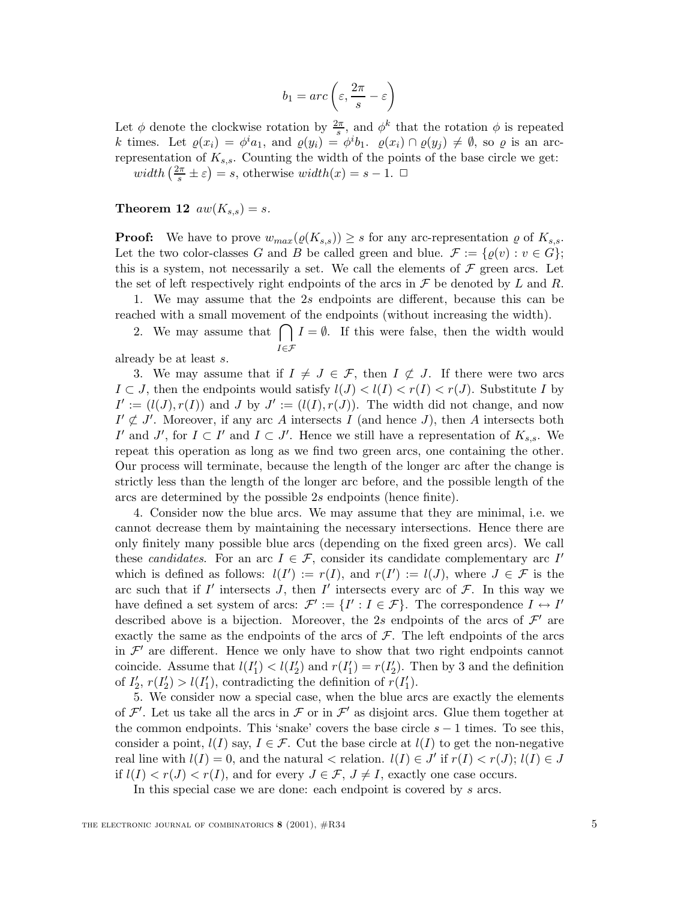$$
b_1 = arc\left(\varepsilon, \frac{2\pi}{s} - \varepsilon\right)
$$

Let  $\phi$  denote the clockwise rotation by  $\frac{2\pi}{s}$ , and  $\phi^k$  that the rotation  $\phi$  is repeated k times. Let  $\varrho(x_i) = \phi^i a_1$ , and  $\varrho(y_i) = \phi^i b_1$ .  $\varrho(x_i) \cap \varrho(y_j) \neq \emptyset$ , so  $\varrho$  is an arcrepresentation of  $K_{s,s}$ . Counting the width of the points of the base circle we get:  $width\left(\frac{2\pi}{s} \pm \varepsilon\right) = s, otherwise \; width(x) = s - 1. \ \ \Box$ 

**Theorem 12**  $aw(K_{s,s}) = s$ .

**Proof:** We have to prove  $w_{max}(\varrho(K_{s,s})) \geq s$  for any arc-representation  $\varrho$  of  $K_{s,s}$ . Let the two color-classes G and B be called green and blue.  $\mathcal{F} := \{ \varrho(v) : v \in G \};$ this is a system, not necessarily a set. We call the elements of  $\mathcal F$  green arcs. Let the set of left respectively right endpoints of the arcs in  $\mathcal F$  be denoted by L and R.

1. We may assume that the 2s endpoints are different, because this can be reached with a small movement of the endpoints (without increasing the width).

2. We may assume that  $\bigcap$  $I \in \mathcal{F}$  $I = \emptyset$ . If this were false, then the width would

already be at least s.

3. We may assume that if  $I \neq J \in \mathcal{F}$ , then  $I \not\subset J$ . If there were two arcs  $I \subset J$ , then the endpoints would satisfy  $l(J) < l(I) < r(I) < r(J)$ . Substitute I by  $I' := (l(J), r(I))$  and J by  $J' := (l(I), r(J))$ . The width did not change, and now  $I' \not\subset J'$ . Moreover, if any arc A intersects I (and hence J), then A intersects both I' and J', for  $I \subset I'$  and  $I \subset J'$ . Hence we still have a representation of  $K_{s,s}$ . We repeat this operation as long as we find two green arcs, one containing the other. Our process will terminate, because the length of the longer arc after the change is strictly less than the length of the longer arc before, and the possible length of the arcs are determined by the possible 2s endpoints (hence finite).

4. Consider now the blue arcs. We may assume that they are minimal, i.e. we cannot decrease them by maintaining the necessary intersections. Hence there are only finitely many possible blue arcs (depending on the fixed green arcs). We call these *candidates*. For an arc  $I \in \mathcal{F}$ , consider its candidate complementary arc I' which is defined as follows:  $l(I') := r(I)$ , and  $r(I') := l(J)$ , where  $J \in \mathcal{F}$  is the arc such that if I' intersects J, then I' intersects every arc of  $\mathcal{F}$ . In this way we have defined a set system of arcs:  $\mathcal{F}' := \{I' : I \in \mathcal{F}\}\$ . The correspondence  $I \leftrightarrow I'$ described above is a bijection. Moreover, the 2s endpoints of the arcs of  $\mathcal{F}'$  are exactly the same as the endpoints of the arcs of  $\mathcal F$ . The left endpoints of the arcs in  $\mathcal{F}'$  are different. Hence we only have to show that two right endpoints cannot coincide. Assume that  $l(I'_1) < l(I'_2)$  and  $r(I'_1) = r(I'_2)$ . Then by 3 and the definition of  $I'_2$ ,  $r(I'_2) > l(I'_1)$ , contradicting the definition of  $r(I'_1)$ .

5. We consider now a special case, when the blue arcs are exactly the elements of  $\mathcal{F}'$ . Let us take all the arcs in  $\mathcal F$  or in  $\mathcal F'$  as disjoint arcs. Glue them together at the common endpoints. This 'snake' covers the base circle  $s - 1$  times. To see this, consider a point,  $l(I)$  say,  $I \in \mathcal{F}$ . Cut the base circle at  $l(I)$  to get the non-negative real line with  $l(I) = 0$ , and the natural  $\lt$  relation.  $l(I) \in J'$  if  $r(I) \lt r(J)$ ;  $l(I) \in J$ if  $l(I) < r(J) < r(I)$ , and for every  $J \in \mathcal{F}$ ,  $J \neq I$ , exactly one case occurs.

In this special case we are done: each endpoint is covered by s arcs.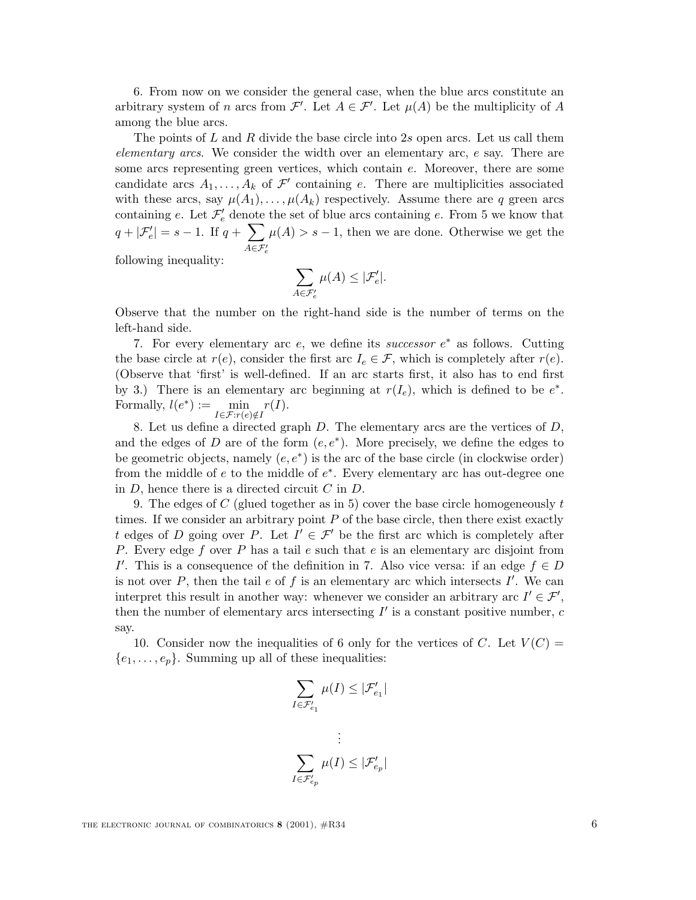6. From now on we consider the general case, when the blue arcs constitute an arbitrary system of n arcs from  $\mathcal{F}'$ . Let  $A \in \mathcal{F}'$ . Let  $\mu(A)$  be the multiplicity of A among the blue arcs.

The points of  $L$  and  $R$  divide the base circle into  $2s$  open arcs. Let us call them *elementary arcs*. We consider the width over an elementary arc, e say. There are some arcs representing green vertices, which contain e. Moreover, there are some candidate arcs  $A_1, \ldots, A_k$  of  $\mathcal{F}'$  containing e. There are multiplicities associated with these arcs, say  $\mu(A_1), \ldots, \mu(A_k)$  respectively. Assume there are q green arcs containing e. Let  $\mathcal{F}'_e$  denote the set of blue arcs containing e. From 5 we know that  $q + |\mathcal{F}'_e| = s - 1$ . If  $q + \sum$  $A ∈ \mathcal{F}'_e$  $\mu(A) > s - 1$ , then we are done. Otherwise we get the

following inequality:

$$
\sum_{A \in \mathcal{F}'_e} \mu(A) \le |\mathcal{F}'_e|.
$$

Observe that the number on the right-hand side is the number of terms on the left-hand side.

7. For every elementary arc e, we define its *successor* e<sup>∗</sup> as follows. Cutting the base circle at  $r(e)$ , consider the first arc  $I_e \in \mathcal{F}$ , which is completely after  $r(e)$ . (Observe that 'first' is well-defined. If an arc starts first, it also has to end first by 3.) There is an elementary arc beginning at  $r(I_e)$ , which is defined to be  $e^*$ . Formally,  $l(e^*) := \min_{I \in \mathcal{F}: r(e) \notin I} r(I).$ 

8. Let us define a directed graph  $D$ . The elementary arcs are the vertices of  $D$ , and the edges of D are of the form  $(e, e^*)$ . More precisely, we define the edges to be geometric objects, namely  $(e, e^*)$  is the arc of the base circle (in clockwise order) from the middle of  $e$  to the middle of  $e^*$ . Every elementary arc has out-degree one in  $D$ , hence there is a directed circuit  $C$  in  $D$ .

9. The edges of C (glued together as in 5) cover the base circle homogeneously  $t$ times. If we consider an arbitrary point  $P$  of the base circle, then there exist exactly t edges of D going over P. Let  $I' \in \mathcal{F}'$  be the first arc which is completely after P. Every edge f over P has a tail  $e$  such that  $e$  is an elementary arc disjoint from I'. This is a consequence of the definition in 7. Also vice versa: if an edge  $f \in D$ is not over  $P$ , then the tail  $e$  of  $f$  is an elementary arc which intersects  $I'$ . We can interpret this result in another way: whenever we consider an arbitrary arc  $I' \in \mathcal{F}'$ , then the number of elementary arcs intersecting  $I'$  is a constant positive number,  $c$ say.

10. Consider now the inequalities of 6 only for the vertices of C. Let  $V(C)$  =  ${e_1,\ldots,e_p}$ . Summing up all of these inequalities:

$$
\sum_{I \in \mathcal{F}_{e_1}'} \mu(I) \leq |\mathcal{F}_{e_1}'|
$$
  

$$
\vdots
$$
  

$$
\sum_{I \in \mathcal{F}_{e_p}'} \mu(I) \leq |\mathcal{F}_{e_p}'|
$$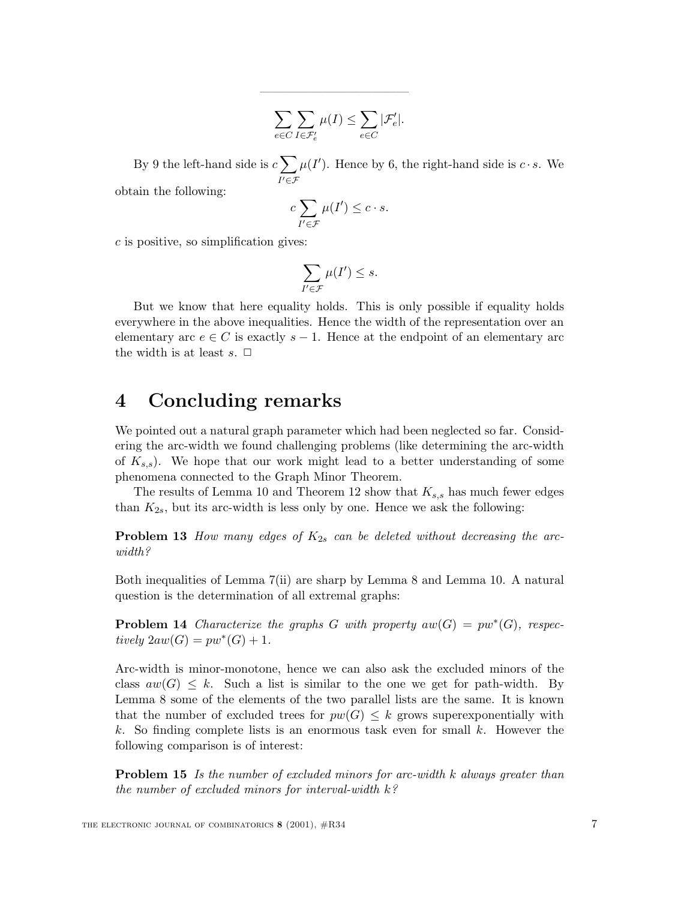$$
\sum_{e \in C} \sum_{I \in \mathcal{F}'_e} \mu(I) \leq \sum_{e \in C} |\mathcal{F}'_e|.
$$

————————————

By 9 the left-hand side is  $c\sum$  $I' \in \mathcal{F}$  $\mu(I')$ . Hence by 6, the right-hand side is  $c \cdot s$ . We

obtain the following:

$$
c\sum_{I'\in\mathcal{F}}\mu(I')\leq c\cdot s.
$$

 $c$  is positive, so simplification gives:

$$
\sum_{I'\in\mathcal{F}}\mu(I')\leq s.
$$

But we know that here equality holds. This is only possible if equality holds everywhere in the above inequalities. Hence the width of the representation over an elementary arc  $e \in C$  is exactly  $s - 1$ . Hence at the endpoint of an elementary arc the width is at least  $s. \Box$ 

#### **4 Concluding remarks**

We pointed out a natural graph parameter which had been neglected so far. Considering the arc-width we found challenging problems (like determining the arc-width of  $K_{s,s}$ ). We hope that our work might lead to a better understanding of some phenomena connected to the Graph Minor Theorem.

The results of Lemma 10 and Theorem 12 show that  $K_{s,s}$  has much fewer edges than  $K_{2s}$ , but its arc-width is less only by one. Hence we ask the following:

**Problem 13** *How many edges of*  $K_{2s}$  *can be deleted without decreasing the arcwidth?*

Both inequalities of Lemma 7(ii) are sharp by Lemma 8 and Lemma 10. A natural question is the determination of all extremal graphs:

**Problem 14** *Characterize the graphs* G *with property*  $aw(G) = pw^*(G)$ *, respec* $tively \ 2aw(G) = pw^*(G) + 1.$ 

Arc-width is minor-monotone, hence we can also ask the excluded minors of the class  $aw(G) \leq k$ . Such a list is similar to the one we get for path-width. By Lemma 8 some of the elements of the two parallel lists are the same. It is known that the number of excluded trees for  $pw(G) \leq k$  grows superexponentially with k. So finding complete lists is an enormous task even for small  $k$ . However the following comparison is of interest:

**Problem 15** *Is the number of excluded minors for arc-width* k *always greater than the number of excluded minors for interval-width* k*?*